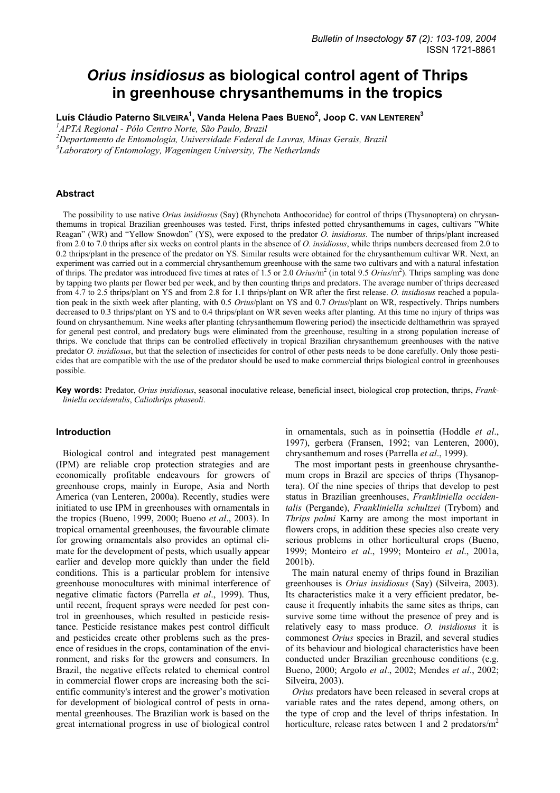# *Orius insidiosus* **as biological control agent of Thrips in greenhouse chrysanthemums in the tropics**

**Luís Cláudio Paterno SILVEIRA1 , Vanda Helena Paes BUENO2 , Joop C. VAN LENTEREN<sup>3</sup>**

*1 APTA Regional - Pólo Centro Norte, São Paulo, Brazil*

*2 Departamento de Entomologia, Universidade Federal de Lavras, Minas Gerais, Brazil*

*3 Laboratory of Entomology, Wageningen University, The Netherlands*

# **Abstract**

The possibility to use native *Orius insidiosus* (Say) (Rhynchota Anthocoridae) for control of thrips (Thysanoptera) on chrysanthemums in tropical Brazilian greenhouses was tested. First, thrips infested potted chrysanthemums in cages, cultivars "White Reagan" (WR) and "Yellow Snowdon" (YS), were exposed to the predator *O. insidiosus*. The number of thrips/plant increased from 2.0 to 7.0 thrips after six weeks on control plants in the absence of *O. insidiosus*, while thrips numbers decreased from 2.0 to 0.2 thrips/plant in the presence of the predator on YS. Similar results were obtained for the chrysanthemum cultivar WR. Next, an experiment was carried out in a commercial chrysanthemum greenhouse with the same two cultivars and with a natural infestation of thrips. The predator was introduced five times at rates of 1.5 or 2.0 *Orius*/m<sup>2</sup> (in total 9.5 *Orius*/m<sup>2</sup>). Thrips sampling was done by tapping two plants per flower bed per week, and by then counting thrips and predators. The average number of thrips decreased from 4.7 to 2.5 thrips/plant on YS and from 2.8 for 1.1 thrips/plant on WR after the first release. *O. insidiosus* reached a population peak in the sixth week after planting, with 0.5 *Orius*/plant on YS and 0.7 *Orius*/plant on WR, respectively. Thrips numbers decreased to 0.3 thrips/plant on YS and to 0.4 thrips/plant on WR seven weeks after planting. At this time no injury of thrips was found on chrysanthemum. Nine weeks after planting (chrysanthemum flowering period) the insecticide delthamethrin was sprayed for general pest control, and predatory bugs were eliminated from the greenhouse, resulting in a strong population increase of thrips. We conclude that thrips can be controlled effectively in tropical Brazilian chrysanthemum greenhouses with the native predator *O. insidiosus*, but that the selection of insecticides for control of other pests needs to be done carefully. Only those pesticides that are compatible with the use of the predator should be used to make commercial thrips biological control in greenhouses possible.

**Key words:** Predator, *Orius insidiosus*, seasonal inoculative release, beneficial insect, biological crop protection, thrips, *Frankliniella occidentalis*, *Caliothrips phaseoli*.

# **Introduction**

Biological control and integrated pest management (IPM) are reliable crop protection strategies and are economically profitable endeavours for growers of greenhouse crops, mainly in Europe, Asia and North America (van Lenteren, 2000a). Recently, studies were initiated to use IPM in greenhouses with ornamentals in the tropics (Bueno, 1999, 2000; Bueno *et al*., 2003). In tropical ornamental greenhouses, the favourable climate for growing ornamentals also provides an optimal climate for the development of pests, which usually appear earlier and develop more quickly than under the field conditions. This is a particular problem for intensive greenhouse monocultures with minimal interference of negative climatic factors (Parrella *et al*., 1999). Thus, until recent, frequent sprays were needed for pest control in greenhouses, which resulted in pesticide resistance. Pesticide resistance makes pest control difficult and pesticides create other problems such as the presence of residues in the crops, contamination of the environment, and risks for the growers and consumers. In Brazil, the negative effects related to chemical control in commercial flower crops are increasing both the scientific community's interest and the grower's motivation for development of biological control of pests in ornamental greenhouses. The Brazilian work is based on the great international progress in use of biological control in ornamentals, such as in poinsettia (Hoddle *et al*., 1997), gerbera (Fransen, 1992; van Lenteren, 2000), chrysanthemum and roses (Parrella *et al*., 1999).

 The most important pests in greenhouse chrysanthemum crops in Brazil are species of thrips (Thysanoptera). Of the nine species of thrips that develop to pest status in Brazilian greenhouses, *Frankliniella occidentalis* (Pergande), *Frankliniella schultzei* (Trybom) and *Thrips palmi* Karny are among the most important in flowers crops, in addition these species also create very serious problems in other horticultural crops (Bueno, 1999; Monteiro *et al*., 1999; Monteiro *et al*., 2001a, 2001b).

The main natural enemy of thrips found in Brazilian greenhouses is *Orius insidiosus* (Say) (Silveira, 2003). Its characteristics make it a very efficient predator, because it frequently inhabits the same sites as thrips, can survive some time without the presence of prey and is relatively easy to mass produce. *O. insidiosus* it is commonest *Orius* species in Brazil, and several studies of its behaviour and biological characteristics have been conducted under Brazilian greenhouse conditions (e.g. Bueno, 2000; Argolo *et al*., 2002; Mendes *et al*., 2002; Silveira, 2003).

*Orius* predators have been released in several crops at variable rates and the rates depend, among others, on the type of crop and the level of thrips infestation. In horticulture, release rates between 1 and 2 predators/ $m<sup>2</sup>$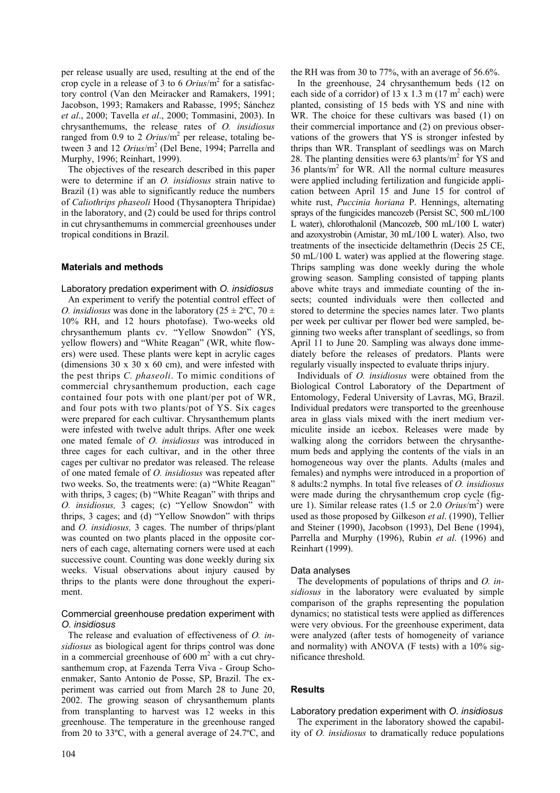per release usually are used, resulting at the end of the crop cycle in a release of 3 to 6 *Orius*/m2 for a satisfactory control (Van den Meiracker and Ramakers, 1991; Jacobson, 1993; Ramakers and Rabasse, 1995; Sánchez *et al*., 2000; Tavella *et al*., 2000; Tommasini, 2003). In chrysanthemums, the release rates of *O. insidiosus* ranged from 0.9 to 2  $Orius/m<sup>2</sup>$  per release, totaling between 3 and 12 *Orius*/m<sup>2</sup> (Del Bene, 1994; Parrella and Murphy, 1996; Reinhart, 1999).

The objectives of the research described in this paper were to determine if an *O. insidiosus* strain native to Brazil (1) was able to significantly reduce the numbers of *Caliothrips phaseoli* Hood (Thysanoptera Thripidae) in the laboratory, and (2) could be used for thrips control in cut chrysanthemums in commercial greenhouses under tropical conditions in Brazil.

# **Materials and methods**

#### Laboratory predation experiment with *O. insidiosus*

An experiment to verify the potential control effect of *O. insidiosus* was done in the laboratory ( $25 \pm 2$ °C,  $70 \pm 1$ 10% RH, and 12 hours photofase). Two-weeks old chrysanthemum plants cv. "Yellow Snowdon" (YS, yellow flowers) and "White Reagan" (WR, white flowers) were used. These plants were kept in acrylic cages (dimensions  $30 \times 30 \times 60$  cm), and were infested with the pest thrips *C. phaseoli*. To mimic conditions of commercial chrysanthemum production, each cage contained four pots with one plant/per pot of WR, and four pots with two plants/pot of YS. Six cages were prepared for each cultivar. Chrysanthemum plants were infested with twelve adult thrips. After one week one mated female of *O. insidiosus* was introduced in three cages for each cultivar, and in the other three cages per cultivar no predator was released. The release of one mated female of *O. insidiosus* was repeated after two weeks. So, the treatments were: (a) "White Reagan" with thrips, 3 cages; (b) "White Reagan" with thrips and *O. insidiosus,* 3 cages; (c) "Yellow Snowdon" with thrips, 3 cages; and (d) "Yellow Snowdon" with thrips and *O. insidiosus,* 3 cages. The number of thrips/plant was counted on two plants placed in the opposite corners of each cage, alternating corners were used at each successive count. Counting was done weekly during six weeks. Visual observations about injury caused by thrips to the plants were done throughout the experiment.

# Commercial greenhouse predation experiment with *O. insidiosus*

The release and evaluation of effectiveness of *O. insidiosus* as biological agent for thrips control was done in a commercial greenhouse of  $600 \text{ m}^2$  with a cut chrysanthemum crop, at Fazenda Terra Viva - Group Schoenmaker, Santo Antonio de Posse, SP, Brazil. The experiment was carried out from March 28 to June 20, 2002. The growing season of chrysanthemum plants from transplanting to harvest was 12 weeks in this greenhouse. The temperature in the greenhouse ranged from 20 to 33ºC, with a general average of 24.7ºC, and the RH was from 30 to 77%, with an average of 56.6%.

In the greenhouse, 24 chrysanthemum beds (12 on each side of a corridor) of  $13 \times 1.3$  m  $(17 \text{ m}^2 \text{ each})$  were planted, consisting of 15 beds with YS and nine with WR. The choice for these cultivars was based (1) on their commercial importance and (2) on previous observations of the growers that YS is stronger infested by thrips than WR. Transplant of seedlings was on March 28. The planting densities were  $63$  plants/ $m<sup>2</sup>$  for YS and  $36$  plants/m<sup>2</sup> for WR. All the normal culture measures were applied including fertilization and fungicide application between April 15 and June 15 for control of white rust, *Puccinia horiana* P. Hennings, alternating sprays of the fungicides mancozeb (Persist SC, 500 mL/100 L water), chlorothalonil (Mancozeb, 500 mL/100 L water) and azoxystrobin (Amistar, 30 mL/100 L water). Also, two treatments of the insecticide deltamethrin (Decis 25 CE, 50 mL/100 L water) was applied at the flowering stage. Thrips sampling was done weekly during the whole growing season. Sampling consisted of tapping plants above white trays and immediate counting of the insects; counted individuals were then collected and stored to determine the species names later. Two plants per week per cultivar per flower bed were sampled, beginning two weeks after transplant of seedlings, so from April 11 to June 20. Sampling was always done immediately before the releases of predators. Plants were regularly visually inspected to evaluate thrips injury.

Individuals of *O. insidiosus* were obtained from the Biological Control Laboratory of the Department of Entomology, Federal University of Lavras, MG, Brazil. Individual predators were transported to the greenhouse area in glass vials mixed with the inert medium vermiculite inside an icebox. Releases were made by walking along the corridors between the chrysanthemum beds and applying the contents of the vials in an homogeneous way over the plants. Adults (males and females) and nymphs were introduced in a proportion of 8 adults:2 nymphs. In total five releases of *O. insidiosus* were made during the chrysanthemum crop cycle (figure 1). Similar release rates (1.5 or 2.0 *Orius*/m<sup>2</sup>) were used as those proposed by Gilkeson *et al*. (1990), Tellier and Steiner (1990), Jacobson (1993), Del Bene (1994), Parrella and Murphy (1996), Rubin *et al*. (1996) and Reinhart (1999).

#### Data analyses

The developments of populations of thrips and *O. insidiosus* in the laboratory were evaluated by simple comparison of the graphs representing the population dynamics; no statistical tests were applied as differences were very obvious. For the greenhouse experiment, data were analyzed (after tests of homogeneity of variance and normality) with ANOVA (F tests) with a 10% significance threshold.

#### **Results**

# Laboratory predation experiment with *O. insidiosus*

The experiment in the laboratory showed the capability of *O. insidiosus* to dramatically reduce populations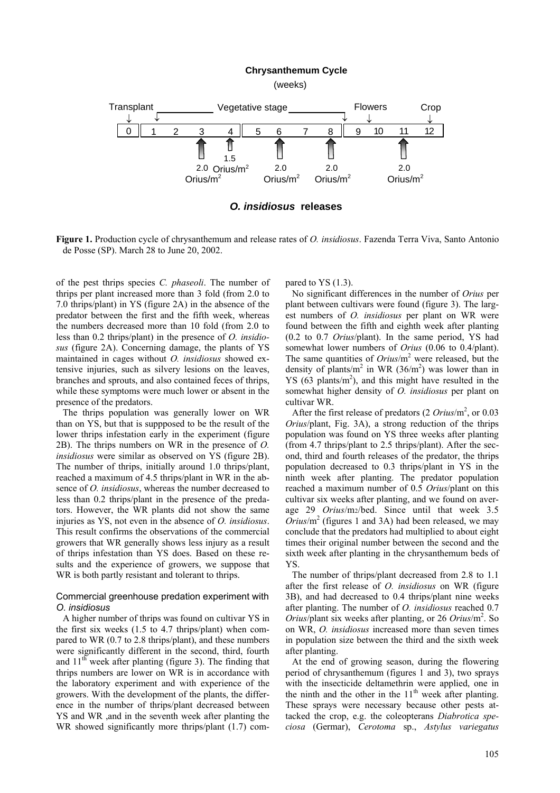#### **Chrysanthemum Cycle**

(weeks)



*O. insidiosus* **releases**

**Figure 1.** Production cycle of chrysanthemum and release rates of *O. insidiosus*. Fazenda Terra Viva, Santo Antonio de Posse (SP). March 28 to June 20, 2002.

of the pest thrips species *C. phaseoli*. The number of thrips per plant increased more than 3 fold (from 2.0 to 7.0 thrips/plant) in YS (figure 2A) in the absence of the predator between the first and the fifth week, whereas the numbers decreased more than 10 fold (from 2.0 to less than 0.2 thrips/plant) in the presence of *O. insidiosus* (figure 2A). Concerning damage, the plants of YS maintained in cages without *O. insidiosus* showed extensive injuries, such as silvery lesions on the leaves, branches and sprouts, and also contained feces of thrips, while these symptoms were much lower or absent in the presence of the predators.

The thrips population was generally lower on WR than on YS, but that is suppposed to be the result of the lower thrips infestation early in the experiment (figure 2B). The thrips numbers on WR in the presence of *O. insidiosus* were similar as observed on YS (figure 2B). The number of thrips, initially around 1.0 thrips/plant, reached a maximum of 4.5 thrips/plant in WR in the absence of *O. insidiosus*, whereas the number decreased to less than 0.2 thrips/plant in the presence of the predators. However, the WR plants did not show the same injuries as YS, not even in the absence of *O. insidiosus*. This result confirms the observations of the commercial growers that WR generally shows less injury as a result of thrips infestation than YS does. Based on these results and the experience of growers, we suppose that WR is both partly resistant and tolerant to thrips.

### Commercial greenhouse predation experiment with *O. insidiosus*

A higher number of thrips was found on cultivar YS in the first six weeks (1.5 to 4.7 thrips/plant) when compared to WR (0.7 to 2.8 thrips/plant), and these numbers were significantly different in the second, third, fourth and  $11<sup>th</sup>$  week after planting (figure 3). The finding that thrips numbers are lower on WR is in accordance with the laboratory experiment and with experience of the growers. With the development of the plants, the difference in the number of thrips/plant decreased between YS and WR ,and in the seventh week after planting the WR showed significantly more thrips/plant  $(1.7)$  compared to YS (1.3).

No significant differences in the number of *Orius* per plant between cultivars were found (figure 3). The largest numbers of *O. insidiosus* per plant on WR were found between the fifth and eighth week after planting (0.2 to 0.7 *Orius*/plant). In the same period, YS had somewhat lower numbers of *Orius* (0.06 to 0.4/plant). The same quantities of *Orius*/m<sup>2</sup> were released, but the density of plants/m<sup>2</sup> in WR (36/m<sup>2</sup>) was lower than in YS  $(63 \text{ plants/m}^2)$ , and this might have resulted in the somewhat higher density of *O. insidiosus* per plant on cultivar WR.

After the first release of predators (2 *Orius*/m<sup>2</sup>, or 0.03 *Orius*/plant, Fig. 3A), a strong reduction of the thrips population was found on YS three weeks after planting (from 4.7 thrips/plant to 2.5 thrips/plant). After the second, third and fourth releases of the predator, the thrips population decreased to 0.3 thrips/plant in YS in the ninth week after planting. The predator population reached a maximum number of 0.5 *Orius*/plant on this cultivar six weeks after planting, and we found on average 29 *Orius*/m2/bed. Since until that week 3.5  $Orius/m<sup>2</sup>$  (figures 1 and 3A) had been released, we may conclude that the predators had multiplied to about eight times their original number between the second and the sixth week after planting in the chrysanthemum beds of YS.

The number of thrips/plant decreased from 2.8 to 1.1 after the first release of *O. insidiosus* on WR (figure 3B), and had decreased to 0.4 thrips/plant nine weeks after planting. The number of *O. insidiosus* reached 0.7 *Orius*/plant six weeks after planting, or 26 *Orius*/m<sup>2</sup>. So on WR, *O. insidiosus* increased more than seven times in population size between the third and the sixth week after planting.

At the end of growing season, during the flowering period of chrysanthemum (figures 1 and 3), two sprays with the insecticide deltamethrin were applied, one in the ninth and the other in the  $11<sup>th</sup>$  week after planting. These sprays were necessary because other pests attacked the crop, e.g. the coleopterans *Diabrotica speciosa* (Germar), *Cerotoma* sp., *Astylus variegatus*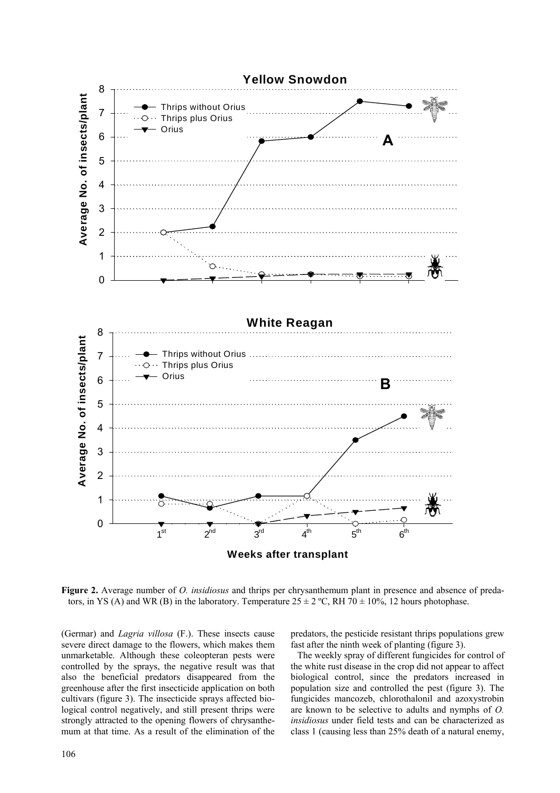

**Figure 2.** Average number of *O. insidiosus* and thrips per chrysanthemum plant in presence and absence of predators, in YS (A) and WR (B) in the laboratory. Temperature  $25 \pm 2$  °C, RH 70  $\pm$  10%, 12 hours photophase.

(Germar) and *Lagria villosa* (F.). These insects cause severe direct damage to the flowers, which makes them unmarketable. Although these coleopteran pests were controlled by the sprays, the negative result was that also the beneficial predators disappeared from the greenhouse after the first insecticide application on both cultivars (figure 3). The insecticide sprays affected biological control negatively, and still present thrips were strongly attracted to the opening flowers of chrysanthemum at that time. As a result of the elimination of the predators, the pesticide resistant thrips populations grew fast after the ninth week of planting (figure 3).

The weekly spray of different fungicides for control of the white rust disease in the crop did not appear to affect biological control, since the predators increased in population size and controlled the pest (figure 3). The fungicides mancozeb, chlorothalonil and azoxystrobin are known to be selective to adults and nymphs of *O. insidiosus* under field tests and can be characterized as class 1 (causing less than 25% death of a natural enemy,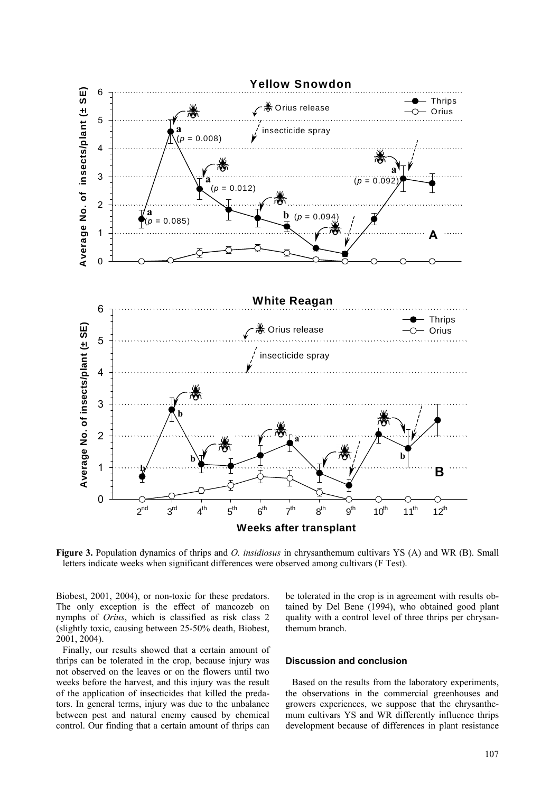

**Figure 3.** Population dynamics of thrips and *O. insidiosus* in chrysanthemum cultivars YS (A) and WR (B). Small letters indicate weeks when significant differences were observed among cultivars (F Test).

Biobest, 2001, 2004), or non-toxic for these predators. The only exception is the effect of mancozeb on nymphs of *Orius*, which is classified as risk class 2 (slightly toxic, causing between 25-50% death, Biobest, 2001, 2004).

Finally, our results showed that a certain amount of thrips can be tolerated in the crop, because injury was not observed on the leaves or on the flowers until two weeks before the harvest, and this injury was the result of the application of insecticides that killed the predators. In general terms, injury was due to the unbalance between pest and natural enemy caused by chemical control. Our finding that a certain amount of thrips can be tolerated in the crop is in agreement with results obtained by Del Bene (1994), who obtained good plant quality with a control level of three thrips per chrysanthemum branch.

### **Discussion and conclusion**

Based on the results from the laboratory experiments, the observations in the commercial greenhouses and growers experiences, we suppose that the chrysanthemum cultivars YS and WR differently influence thrips development because of differences in plant resistance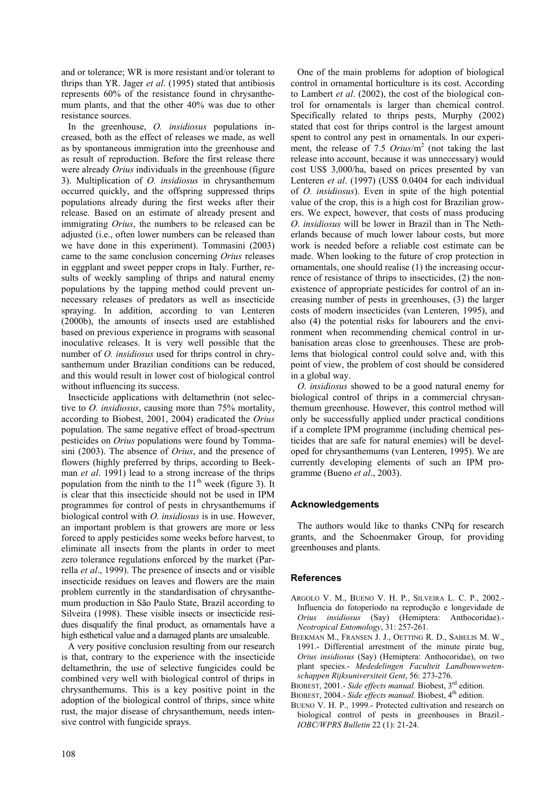and or tolerance; WR is more resistant and/or tolerant to thrips than YR. Jager *et al*. (1995) stated that antibiosis represents 60% of the resistance found in chrysanthemum plants, and that the other 40% was due to other resistance sources.

In the greenhouse, *O. insidiosus* populations increased, both as the effect of releases we made, as well as by spontaneous immigration into the greenhouse and as result of reproduction. Before the first release there were already *Orius* individuals in the greenhouse (figure 3). Multiplication of *O. insidiosus* in chrysanthemum occurred quickly, and the offspring suppressed thrips populations already during the first weeks after their release. Based on an estimate of already present and immigrating *Orius*, the numbers to be released can be adjusted (i.e., often lower numbers can be released than we have done in this experiment). Tommasini (2003) came to the same conclusion concerning *Orius* releases in eggplant and sweet pepper crops in Italy. Further, results of weekly sampling of thrips and natural enemy populations by the tapping method could prevent unnecessary releases of predators as well as insecticide spraying. In addition, according to van Lenteren (2000b), the amounts of insects used are established based on previous experience in programs with seasonal inoculative releases. It is very well possible that the number of *O. insidiosus* used for thrips control in chrysanthemum under Brazilian conditions can be reduced, and this would result in lower cost of biological control without influencing its success.

Insecticide applications with deltamethrin (not selective to *O. insidiosus*, causing more than 75% mortality, according to Biobest, 2001, 2004) eradicated the *Orius* population. The same negative effect of broad-spectrum pesticides on *Orius* populations were found by Tommasini (2003). The absence of *Orius*, and the presence of flowers (highly preferred by thrips, according to Beekman *et al*. 1991) lead to a strong increase of the thrips population from the ninth to the  $11<sup>th</sup>$  week (figure 3). It is clear that this insecticide should not be used in IPM programmes for control of pests in chrysanthemums if biological control with *O. insidiosus* is in use. However, an important problem is that growers are more or less forced to apply pesticides some weeks before harvest, to eliminate all insects from the plants in order to meet zero tolerance regulations enforced by the market (Parrella *et al*., 1999). The presence of insects and or visible insecticide residues on leaves and flowers are the main problem currently in the standardisation of chrysanthemum production in São Paulo State, Brazil according to Silveira (1998). These visible insects or insecticide residues disqualify the final product, as ornamentals have a high esthetical value and a damaged plants are unsaleable.

A very positive conclusion resulting from our research is that, contrary to the experience with the insecticide deltamethrin, the use of selective fungicides could be combined very well with biological control of thrips in chrysanthemums. This is a key positive point in the adoption of the biological control of thrips, since white rust, the major disease of chrysanthemum, needs intensive control with fungicide sprays.

One of the main problems for adoption of biological control in ornamental horticulture is its cost. According to Lambert *et al*. (2002), the cost of the biological control for ornamentals is larger than chemical control. Specifically related to thrips pests, Murphy (2002) stated that cost for thrips control is the largest amount spent to control any pest in ornamentals. In our experiment, the release of 7.5 *Orius*/m<sup>2</sup> (not taking the last release into account, because it was unnecessary) would cost US\$ 3,000/ha, based on prices presented by van Lenteren *et al*. (1997) (US\$ 0.0404 for each individual of *O. insidiosus*). Even in spite of the high potential value of the crop, this is a high cost for Brazilian growers. We expect, however, that costs of mass producing *O. insidiosus* will be lower in Brazil than in The Netherlands because of much lower labour costs, but more work is needed before a reliable cost estimate can be made. When looking to the future of crop protection in ornamentals, one should realise (1) the increasing occurrence of resistance of thrips to insecticides, (2) the nonexistence of appropriate pesticides for control of an increasing number of pests in greenhouses, (3) the larger costs of modern insecticides (van Lenteren, 1995), and also (4) the potential risks for labourers and the environment when recommending chemical control in urbanisation areas close to greenhouses. These are problems that biological control could solve and, with this point of view, the problem of cost should be considered in a global way.

*O. insidiosus* showed to be a good natural enemy for biological control of thrips in a commercial chrysanthemum greenhouse. However, this control method will only be successfully applied under practical conditions if a complete IPM programme (including chemical pesticides that are safe for natural enemies) will be developed for chrysanthemums (van Lenteren, 1995). We are currently developing elements of such an IPM programme (Bueno *et al*., 2003).

# **Acknowledgements**

The authors would like to thanks CNPq for research grants, and the Schoenmaker Group, for providing greenhouses and plants.

# **References**

- ARGOLO V. M., BUENO V. H. P., SILVEIRA L. C. P., 2002.- Influencia do fotoperíodo na reprodução e longevidade de *Orius insidiosus* (Say) (Hemiptera: Anthocoridae).- *Neotropical Entomology*, 31: 257-261.
- BEEKMAN M., FRANSEN J. J., OETTING R. D., SABELIS M. W., 1991.- Differential arrestment of the minute pirate bug, *Orius insidiosus* (Say) (Hemiptera: Anthocoridae), on two plant species.- *Mededelingen Faculteit Landbouwwetenschappen Rijksuniversiteit Gent*, 56: 273-276.
- BIOBEST, 2001.- *Side effects manual*. Biobest, 3<sup>rd</sup> edition.
- BIOBEST, 2004.- *Side effects manual*. Biobest, 4<sup>th</sup> edition.
- BUENO V. H. P., 1999.- Protected cultivation and research on biological control of pests in greenhouses in Brazil.- *IOBC/WPRS Bulletin* 22 (1): 21-24.